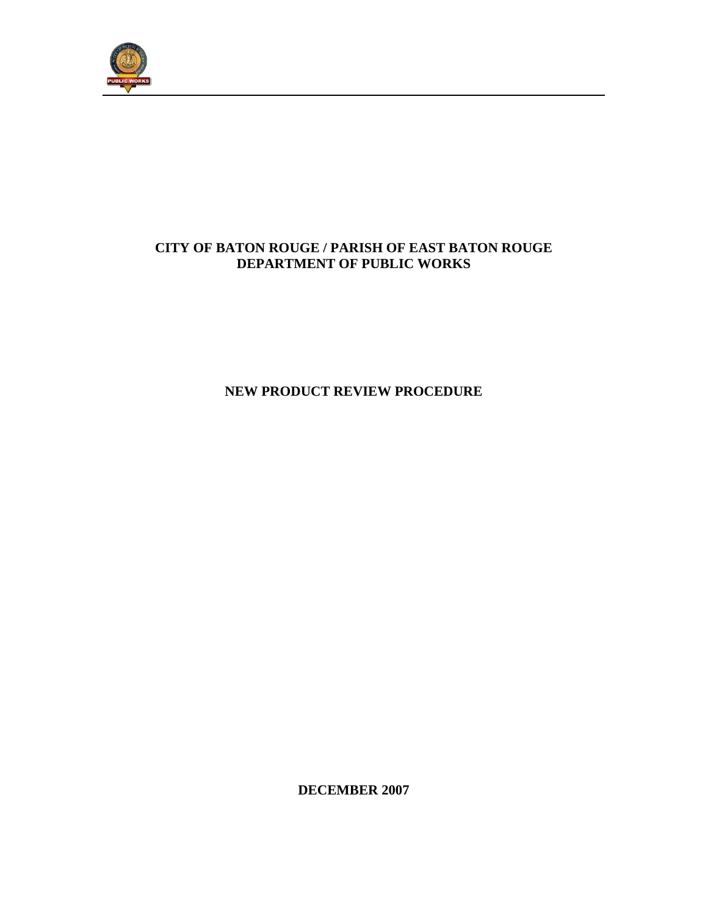

# **CITY OF BATON ROUGE / PARISH OF EAST BATON ROUGE DEPARTMENT OF PUBLIC WORKS**

**NEW PRODUCT REVIEW PROCEDURE** 

**DECEMBER 2007**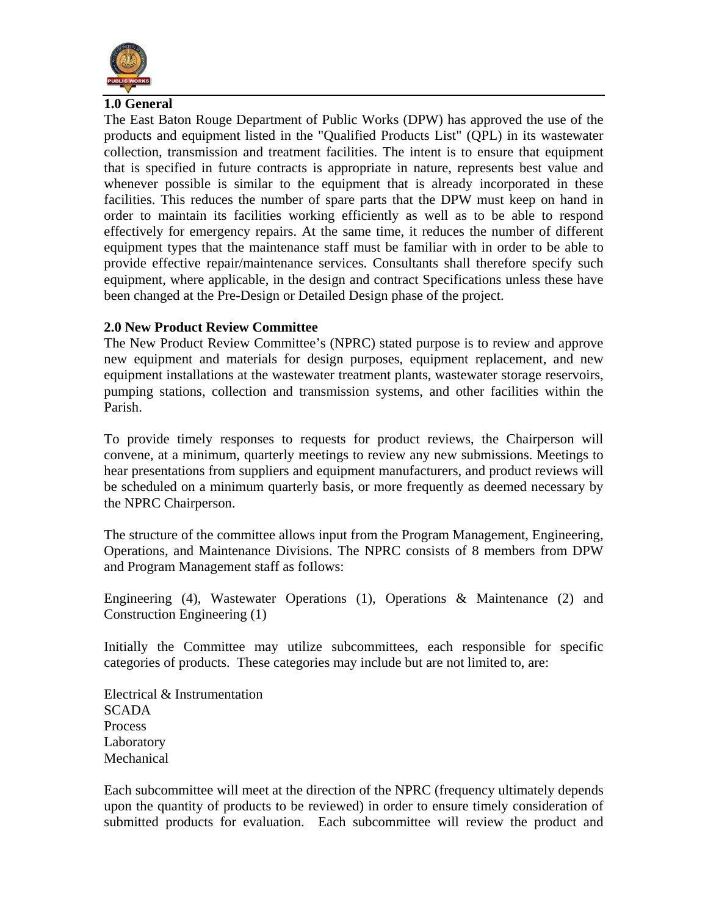

#### **1.0 General**

The East Baton Rouge Department of Public Works (DPW) has approved the use of the products and equipment listed in the "Qualified Products List" (QPL) in its wastewater collection, transmission and treatment facilities. The intent is to ensure that equipment that is specified in future contracts is appropriate in nature, represents best value and whenever possible is similar to the equipment that is already incorporated in these facilities. This reduces the number of spare parts that the DPW must keep on hand in order to maintain its facilities working efficiently as well as to be able to respond effectively for emergency repairs. At the same time, it reduces the number of different equipment types that the maintenance staff must be familiar with in order to be able to provide effective repair/maintenance services. Consultants shall therefore specify such equipment, where applicable, in the design and contract Specifications unless these have been changed at the Pre-Design or Detailed Design phase of the project.

#### **2.0 New Product Review Committee**

The New Product Review Committee's (NPRC) stated purpose is to review and approve new equipment and materials for design purposes, equipment replacement, and new equipment installations at the wastewater treatment plants, wastewater storage reservoirs, pumping stations, collection and transmission systems, and other facilities within the Parish.

To provide timely responses to requests for product reviews, the Chairperson will convene, at a minimum, quarterly meetings to review any new submissions. Meetings to hear presentations from suppliers and equipment manufacturers, and product reviews will be scheduled on a minimum quarterly basis, or more frequently as deemed necessary by the NPRC Chairperson.

The structure of the committee allows input from the Program Management, Engineering, Operations, and Maintenance Divisions. The NPRC consists of 8 members from DPW and Program Management staff as foIlows:

Engineering (4), Wastewater Operations (1), Operations & Maintenance (2) and Construction Engineering (1)

Initially the Committee may utilize subcommittees, each responsible for specific categories of products. These categories may include but are not limited to, are:

Electrical & Instrumentation SCADA Process **Laboratory** Mechanical

Each subcommittee will meet at the direction of the NPRC (frequency ultimately depends upon the quantity of products to be reviewed) in order to ensure timely consideration of submitted products for evaluation. Each subcommittee will review the product and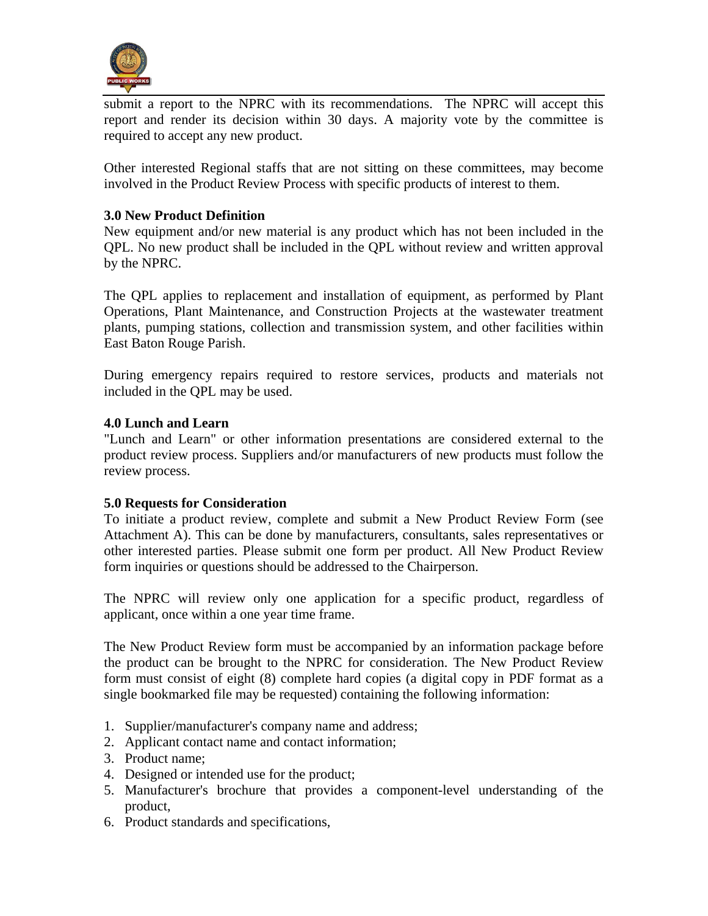

submit a report to the NPRC with its recommendations. The NPRC will accept this report and render its decision within 30 days. A majority vote by the committee is required to accept any new product.

Other interested Regional staffs that are not sitting on these committees, may become involved in the Product Review Process with specific products of interest to them.

## **3.0 New Product Definition**

New equipment and/or new material is any product which has not been included in the QPL. No new product shall be included in the QPL without review and written approval by the NPRC.

The QPL applies to replacement and installation of equipment, as performed by Plant Operations, Plant Maintenance, and Construction Projects at the wastewater treatment plants, pumping stations, collection and transmission system, and other facilities within East Baton Rouge Parish.

During emergency repairs required to restore services, products and materials not included in the QPL may be used.

## **4.0 Lunch and Learn**

"Lunch and Learn" or other information presentations are considered external to the product review process. Suppliers and/or manufacturers of new products must follow the review process.

## **5.0 Requests for Consideration**

To initiate a product review, complete and submit a New Product Review Form (see Attachment A). This can be done by manufacturers, consultants, sales representatives or other interested parties. Please submit one form per product. All New Product Review form inquiries or questions should be addressed to the Chairperson.

The NPRC will review only one application for a specific product, regardless of applicant, once within a one year time frame.

The New Product Review form must be accompanied by an information package before the product can be brought to the NPRC for consideration. The New Product Review form must consist of eight (8) complete hard copies (a digital copy in PDF format as a single bookmarked file may be requested) containing the following information:

- 1. Supplier/manufacturer's company name and address;
- 2. Applicant contact name and contact information;
- 3. Product name;
- 4. Designed or intended use for the product;
- 5. Manufacturer's brochure that provides a component-level understanding of the product,
- 6. Product standards and specifications,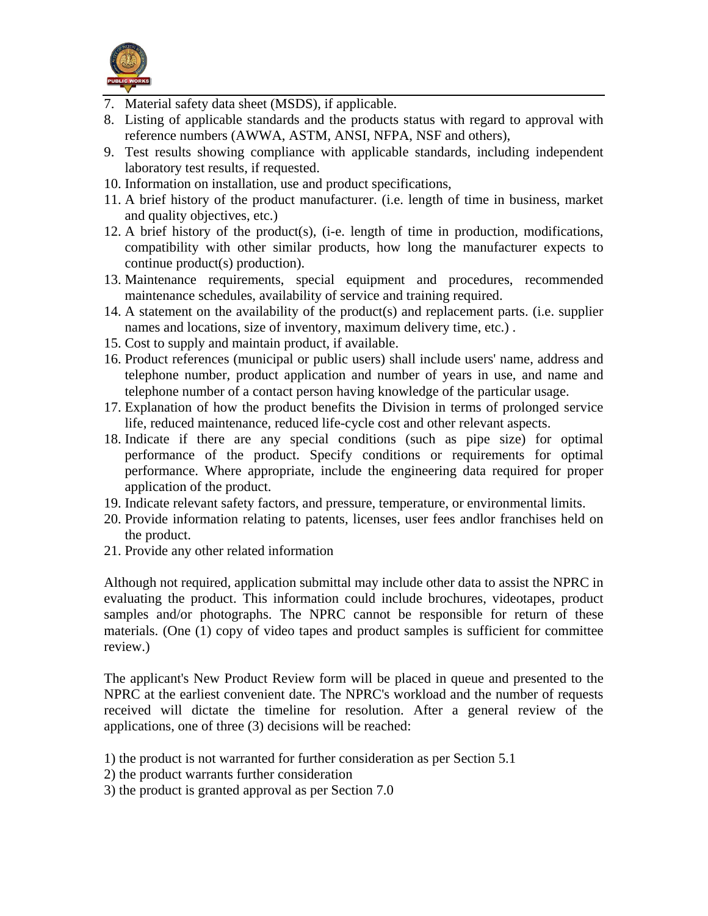

- 7. Material safety data sheet (MSDS), if applicable.
- 8. Listing of applicable standards and the products status with regard to approval with reference numbers (AWWA, ASTM, ANSI, NFPA, NSF and others),
- 9. Test results showing compliance with applicable standards, including independent laboratory test results, if requested.
- 10. Information on installation, use and product specifications,
- 11. A brief history of the product manufacturer. (i.e. length of time in business, market and quality objectives, etc.)
- 12. A brief history of the product(s), (i-e. length of time in production, modifications, compatibility with other similar products, how long the manufacturer expects to continue product(s) production).
- 13. Maintenance requirements, special equipment and procedures, recommended maintenance schedules, availability of service and training required.
- 14. A statement on the availability of the product(s) and replacement parts. (i.e. supplier names and locations, size of inventory, maximum delivery time, etc.) .
- 15. Cost to supply and maintain product, if available.
- 16. Product references (municipal or public users) shall include users' name, address and telephone number, product application and number of years in use, and name and telephone number of a contact person having knowledge of the particular usage.
- 17. Explanation of how the product benefits the Division in terms of prolonged service life, reduced maintenance, reduced life-cycle cost and other relevant aspects.
- 18. Indicate if there are any special conditions (such as pipe size) for optimal performance of the product. Specify conditions or requirements for optimal performance. Where appropriate, include the engineering data required for proper application of the product.
- 19. Indicate relevant safety factors, and pressure, temperature, or environmental limits.
- 20. Provide information relating to patents, licenses, user fees andlor franchises held on the product.
- 21. Provide any other related information

Although not required, application submittal may include other data to assist the NPRC in evaluating the product. This information could include brochures, videotapes, product samples and/or photographs. The NPRC cannot be responsible for return of these materials. (One (1) copy of video tapes and product samples is sufficient for committee review.)

The applicant's New Product Review form will be placed in queue and presented to the NPRC at the earliest convenient date. The NPRC's workload and the number of requests received will dictate the timeline for resolution. After a general review of the applications, one of three (3) decisions will be reached:

- 1) the product is not warranted for further consideration as per Section 5.1
- 2) the product warrants further consideration
- 3) the product is granted approval as per Section 7.0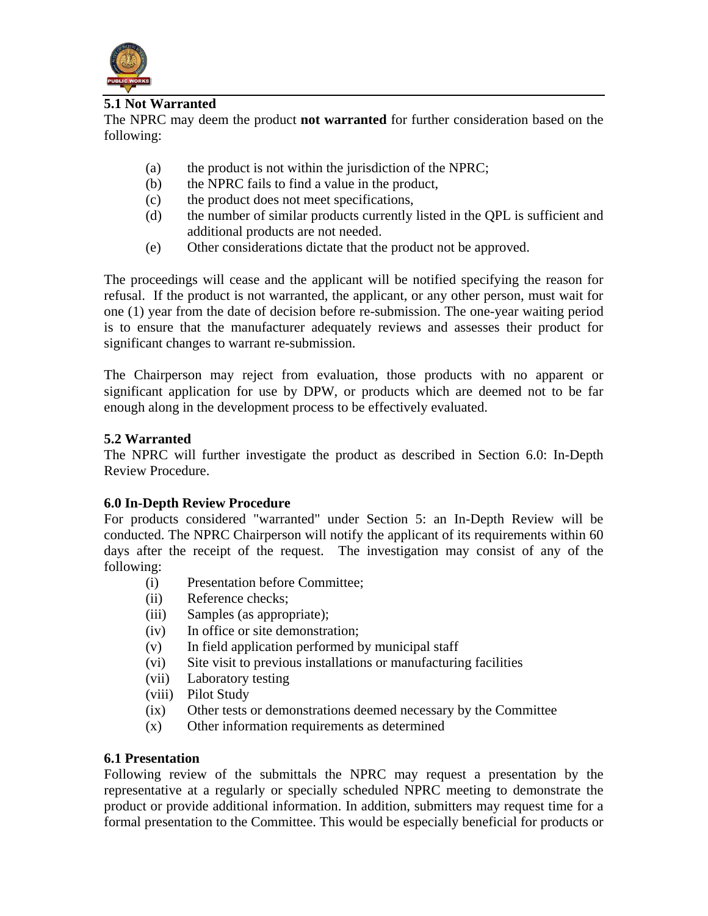

## **5.1 Not Warranted**

The NPRC may deem the product **not warranted** for further consideration based on the following:

- (a) the product is not within the jurisdiction of the NPRC;
- (b) the NPRC fails to find a value in the product,
- (c) the product does not meet specifications,
- (d) the number of similar products currently listed in the QPL is sufficient and additional products are not needed.
- (e) Other considerations dictate that the product not be approved.

The proceedings will cease and the applicant will be notified specifying the reason for refusal. If the product is not warranted, the applicant, or any other person, must wait for one (1) year from the date of decision before re-submission. The one-year waiting period is to ensure that the manufacturer adequately reviews and assesses their product for significant changes to warrant re-submission.

The Chairperson may reject from evaluation, those products with no apparent or significant application for use by DPW, or products which are deemed not to be far enough along in the development process to be effectively evaluated.

#### **5.2 Warranted**

The NPRC will further investigate the product as described in Section 6.0: In-Depth Review Procedure.

## **6.0 In-Depth Review Procedure**

For products considered "warranted" under Section 5: an In-Depth Review will be conducted. The NPRC Chairperson will notify the applicant of its requirements within 60 days after the receipt of the request. The investigation may consist of any of the following:

- (i) Presentation before Committee;
- (ii) Reference checks;
- (iii) Samples (as appropriate);
- (iv) In office or site demonstration;
- (v) In field application performed by municipal staff
- (vi) Site visit to previous installations or manufacturing facilities
- (vii) Laboratory testing
- (viii) Pilot Study
- (ix) Other tests or demonstrations deemed necessary by the Committee
- (x) Other information requirements as determined

#### **6.1 Presentation**

Following review of the submittals the NPRC may request a presentation by the representative at a regularly or specially scheduled NPRC meeting to demonstrate the product or provide additional information. In addition, submitters may request time for a formal presentation to the Committee. This would be especially beneficial for products or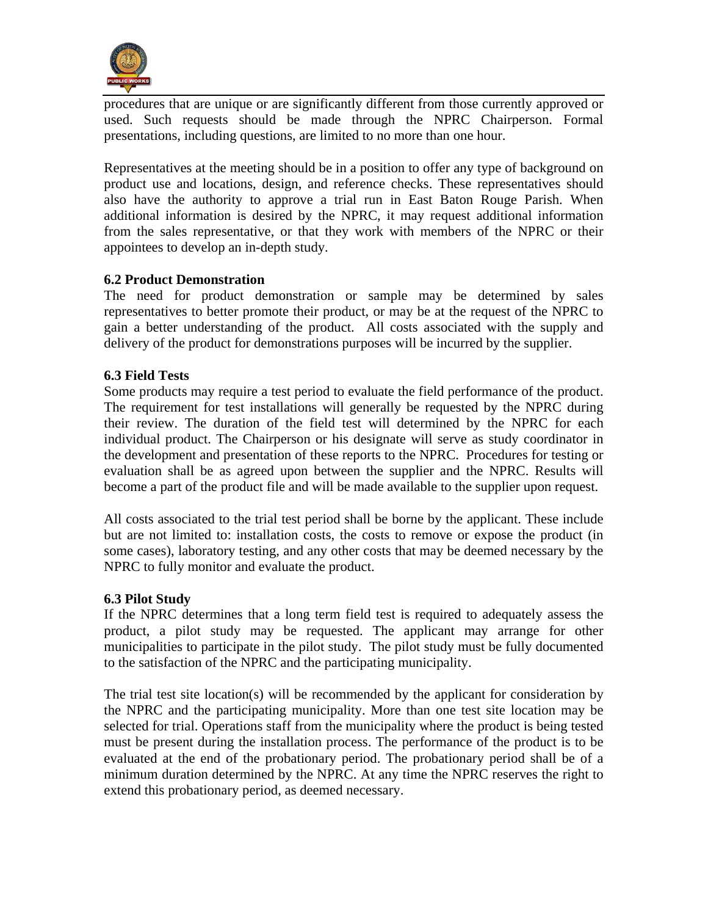

procedures that are unique or are significantly different from those currently approved or used. Such requests should be made through the NPRC Chairperson. Formal presentations, including questions, are limited to no more than one hour.

Representatives at the meeting should be in a position to offer any type of background on product use and locations, design, and reference checks. These representatives should also have the authority to approve a trial run in East Baton Rouge Parish. When additional information is desired by the NPRC, it may request additional information from the sales representative, or that they work with members of the NPRC or their appointees to develop an in-depth study.

## **6.2 Product Demonstration**

The need for product demonstration or sample may be determined by sales representatives to better promote their product, or may be at the request of the NPRC to gain a better understanding of the product. All costs associated with the supply and delivery of the product for demonstrations purposes will be incurred by the supplier.

## **6.3 Field Tests**

Some products may require a test period to evaluate the field performance of the product. The requirement for test installations will generally be requested by the NPRC during their review. The duration of the field test will determined by the NPRC for each individual product. The Chairperson or his designate will serve as study coordinator in the development and presentation of these reports to the NPRC. Procedures for testing or evaluation shall be as agreed upon between the supplier and the NPRC. Results will become a part of the product file and will be made available to the supplier upon request.

All costs associated to the trial test period shall be borne by the applicant. These include but are not limited to: installation costs, the costs to remove or expose the product (in some cases), laboratory testing, and any other costs that may be deemed necessary by the NPRC to fully monitor and evaluate the product.

#### **6.3 Pilot Study**

If the NPRC determines that a long term field test is required to adequately assess the product, a pilot study may be requested. The applicant may arrange for other municipalities to participate in the pilot study. The pilot study must be fully documented to the satisfaction of the NPRC and the participating municipality.

The trial test site location(s) will be recommended by the applicant for consideration by the NPRC and the participating municipality. More than one test site location may be selected for trial. Operations staff from the municipality where the product is being tested must be present during the installation process. The performance of the product is to be evaluated at the end of the probationary period. The probationary period shall be of a minimum duration determined by the NPRC. At any time the NPRC reserves the right to extend this probationary period, as deemed necessary.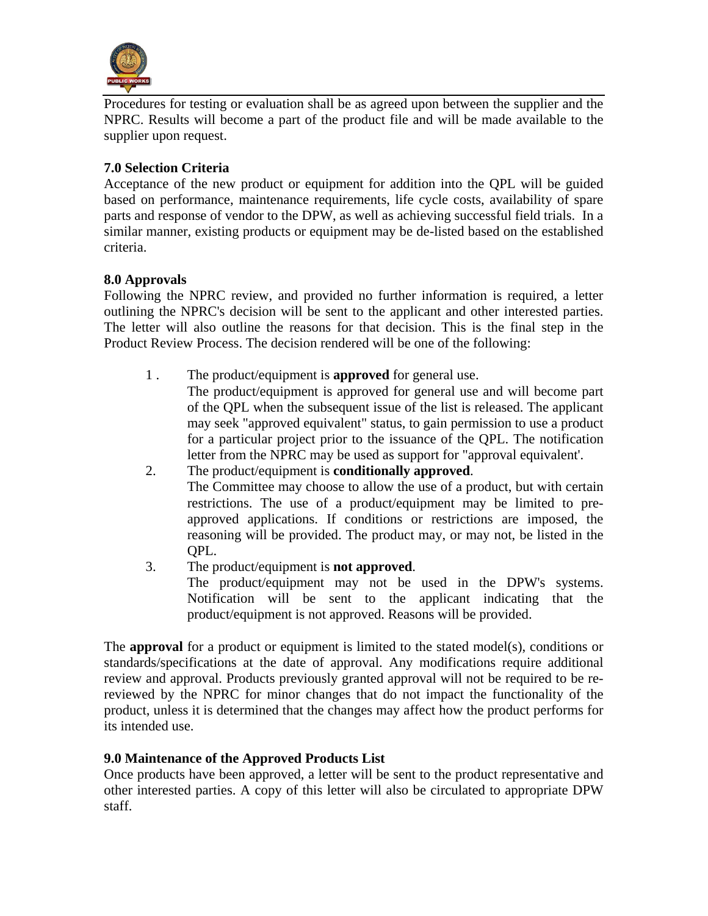

Procedures for testing or evaluation shall be as agreed upon between the supplier and the NPRC. Results will become a part of the product file and will be made available to the supplier upon request.

# **7.0 Selection Criteria**

Acceptance of the new product or equipment for addition into the QPL will be guided based on performance, maintenance requirements, life cycle costs, availability of spare parts and response of vendor to the DPW, as well as achieving successful field trials. In a similar manner, existing products or equipment may be de-listed based on the established criteria.

## **8.0 Approvals**

Following the NPRC review, and provided no further information is required, a letter outlining the NPRC's decision will be sent to the applicant and other interested parties. The letter will also outline the reasons for that decision. This is the final step in the Product Review Process. The decision rendered will be one of the following:

1 . The product/equipment is **approved** for general use.

The product/equipment is approved for general use and will become part of the QPL when the subsequent issue of the list is released. The applicant may seek "approved equivalent" status, to gain permission to use a product for a particular project prior to the issuance of the QPL. The notification letter from the NPRC may be used as support for "approval equivalent'.

- 2. The product/equipment is **conditionally approved**. The Committee may choose to allow the use of a product, but with certain restrictions. The use of a product/equipment may be limited to preapproved applications. If conditions or restrictions are imposed, the reasoning will be provided. The product may, or may not, be listed in the QPL.
- 3. The product/equipment is **not approved**. The product/equipment may not be used in the DPW's systems. Notification will be sent to the applicant indicating that the product/equipment is not approved. Reasons will be provided.

The **approval** for a product or equipment is limited to the stated model(s), conditions or standards/specifications at the date of approval. Any modifications require additional review and approval. Products previously granted approval will not be required to be rereviewed by the NPRC for minor changes that do not impact the functionality of the product, unless it is determined that the changes may affect how the product performs for its intended use.

## **9.0 Maintenance of the Approved Products List**

Once products have been approved, a letter will be sent to the product representative and other interested parties. A copy of this letter will also be circulated to appropriate DPW staff.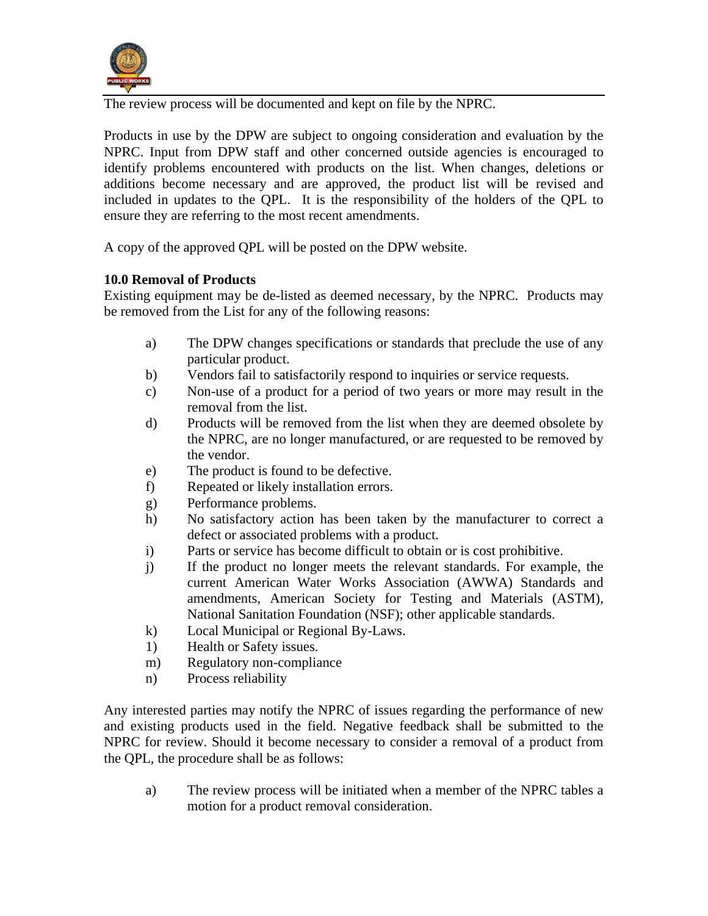

The review process will be documented and kept on file by the NPRC.

Products in use by the DPW are subject to ongoing consideration and evaluation by the NPRC. Input from DPW staff and other concerned outside agencies is encouraged to identify problems encountered with products on the list. When changes, deletions or additions become necessary and are approved, the product list will be revised and included in updates to the QPL. It is the responsibility of the holders of the QPL to ensure they are referring to the most recent amendments.

A copy of the approved QPL will be posted on the DPW website.

## **10.0 Removal of Products**

Existing equipment may be de-listed as deemed necessary, by the NPRC. Products may be removed from the List for any of the following reasons:

- a) The DPW changes specifications or standards that preclude the use of any particular product.
- b) Vendors fail to satisfactorily respond to inquiries or service requests.
- c) Non-use of a product for a period of two years or more may result in the removal from the list.
- d) Products will be removed from the list when they are deemed obsolete by the NPRC, are no longer manufactured, or are requested to be removed by the vendor.
- e) The product is found to be defective.
- f) Repeated or likely installation errors.
- g) Performance problems.
- h) No satisfactory action has been taken by the manufacturer to correct a defect or associated problems with a product.
- i) Parts or service has become difficult to obtain or is cost prohibitive.
- j) If the product no longer meets the relevant standards. For example, the current American Water Works Association (AWWA) Standards and amendments, American Society for Testing and Materials (ASTM), National Sanitation Foundation (NSF); other applicable standards.
- k) Local Municipal or Regional By-Laws.
- 1) Health or Safety issues.
- m) Regulatory non-compliance
- n) Process reliability

Any interested parties may notify the NPRC of issues regarding the performance of new and existing products used in the field. Negative feedback shall be submitted to the NPRC for review. Should it become necessary to consider a removal of a product from the QPL, the procedure shall be as follows:

a) The review process will be initiated when a member of the NPRC tables a motion for a product removal consideration.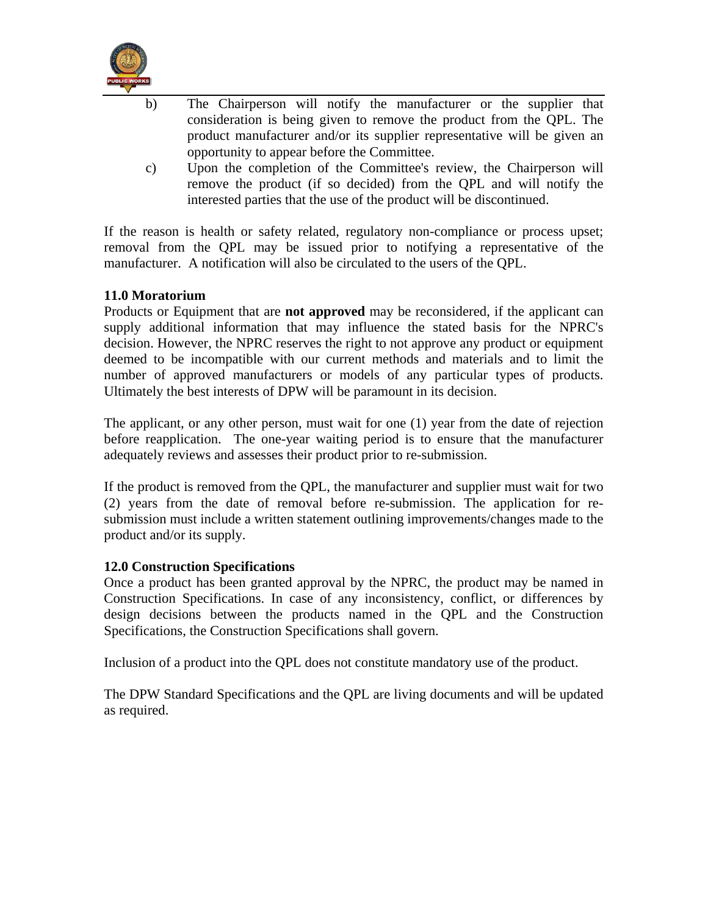

- b) The Chairperson will notify the manufacturer or the supplier that consideration is being given to remove the product from the QPL. The product manufacturer and/or its supplier representative will be given an opportunity to appear before the Committee.
- c) Upon the completion of the Committee's review, the Chairperson will remove the product (if so decided) from the QPL and will notify the interested parties that the use of the product will be discontinued.

If the reason is health or safety related, regulatory non-compliance or process upset; removal from the QPL may be issued prior to notifying a representative of the manufacturer. A notification will also be circulated to the users of the QPL.

## **11.0 Moratorium**

Products or Equipment that are **not approved** may be reconsidered, if the applicant can supply additional information that may influence the stated basis for the NPRC's decision. However, the NPRC reserves the right to not approve any product or equipment deemed to be incompatible with our current methods and materials and to limit the number of approved manufacturers or models of any particular types of products. Ultimately the best interests of DPW will be paramount in its decision.

The applicant, or any other person, must wait for one (1) year from the date of rejection before reapplication. The one-year waiting period is to ensure that the manufacturer adequately reviews and assesses their product prior to re-submission.

If the product is removed from the QPL, the manufacturer and supplier must wait for two (2) years from the date of removal before re-submission. The application for resubmission must include a written statement outlining improvements/changes made to the product and/or its supply.

#### **12.0 Construction Specifications**

Once a product has been granted approval by the NPRC, the product may be named in Construction Specifications. In case of any inconsistency, conflict, or differences by design decisions between the products named in the QPL and the Construction Specifications, the Construction Specifications shall govern.

Inclusion of a product into the QPL does not constitute mandatory use of the product.

The DPW Standard Specifications and the QPL are living documents and will be updated as required.